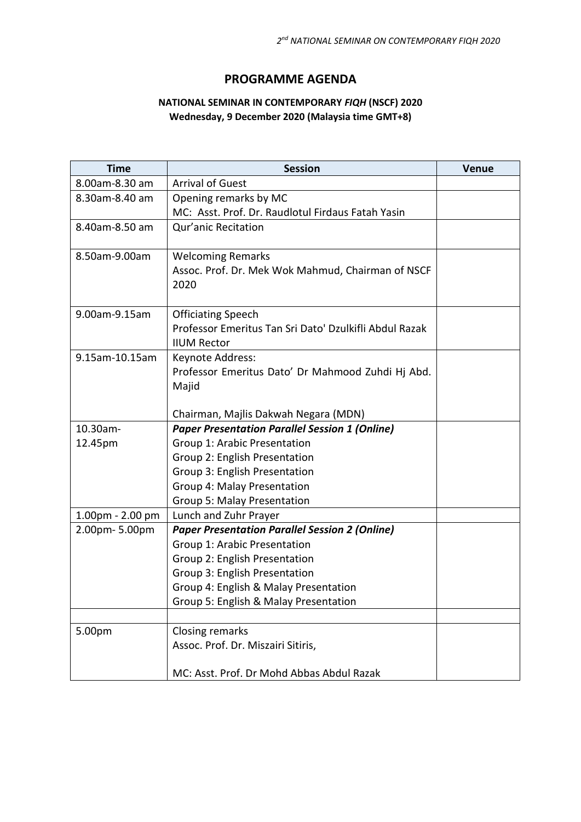## **PROGRAMME AGENDA**

## **NATIONAL SEMINAR IN CONTEMPORARY** *FIQH* **(NSCF) 2020 Wednesday, 9 December 2020 (Malaysia time GMT+8)**

| <b>Time</b>      | <b>Session</b>                                                                                | Venue |
|------------------|-----------------------------------------------------------------------------------------------|-------|
| 8.00am-8.30 am   | <b>Arrival of Guest</b>                                                                       |       |
| 8.30am-8.40 am   | Opening remarks by MC                                                                         |       |
|                  | MC: Asst. Prof. Dr. Raudlotul Firdaus Fatah Yasin                                             |       |
| 8.40am-8.50 am   | Qur'anic Recitation                                                                           |       |
|                  |                                                                                               |       |
| 8.50am-9.00am    | <b>Welcoming Remarks</b>                                                                      |       |
|                  | Assoc. Prof. Dr. Mek Wok Mahmud, Chairman of NSCF                                             |       |
|                  | 2020                                                                                          |       |
| 9.00am-9.15am    | <b>Officiating Speech</b>                                                                     |       |
|                  | Professor Emeritus Tan Sri Dato' Dzulkifli Abdul Razak                                        |       |
|                  | <b>IIUM Rector</b>                                                                            |       |
| 9.15am-10.15am   | Keynote Address:                                                                              |       |
|                  | Professor Emeritus Dato' Dr Mahmood Zuhdi Hj Abd.                                             |       |
|                  | Majid                                                                                         |       |
|                  |                                                                                               |       |
| 10.30am-         | Chairman, Majlis Dakwah Negara (MDN)<br><b>Paper Presentation Parallel Session 1 (Online)</b> |       |
| 12.45pm          | Group 1: Arabic Presentation                                                                  |       |
|                  | Group 2: English Presentation                                                                 |       |
|                  | Group 3: English Presentation                                                                 |       |
|                  | Group 4: Malay Presentation                                                                   |       |
|                  | <b>Group 5: Malay Presentation</b>                                                            |       |
| 1.00pm - 2.00 pm | Lunch and Zuhr Prayer                                                                         |       |
| 2.00pm-5.00pm    | <b>Paper Presentation Parallel Session 2 (Online)</b>                                         |       |
|                  | Group 1: Arabic Presentation                                                                  |       |
|                  | Group 2: English Presentation                                                                 |       |
|                  | Group 3: English Presentation                                                                 |       |
|                  | Group 4: English & Malay Presentation                                                         |       |
|                  | Group 5: English & Malay Presentation                                                         |       |
| 5.00pm           | <b>Closing remarks</b>                                                                        |       |
|                  | Assoc. Prof. Dr. Miszairi Sitiris,                                                            |       |
|                  |                                                                                               |       |
|                  | MC: Asst. Prof. Dr Mohd Abbas Abdul Razak                                                     |       |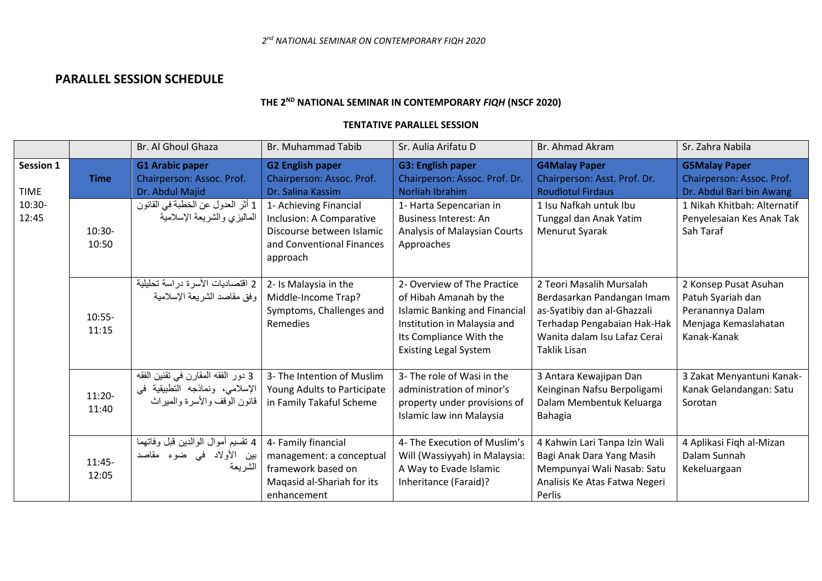## **PARALLEL SESSION SCHEDULE**

# **THE 2ND NATIONAL SEMINAR IN CONTEMPORARY** *FIQH* **(NSCF 2020)**

### **TENTATIVE PARALLEL SESSION**

|                                                      |                   | Br. Al Ghoul Ghaza                                                                                   | <b>Br. Muhammad Tabib</b>                                                                                                | Sr. Aulia Arifatu D                                                                                                                                                                     | Br. Ahmad Akram                                                                                                                                                             | Sr. Zahra Nabila                                                                                      |
|------------------------------------------------------|-------------------|------------------------------------------------------------------------------------------------------|--------------------------------------------------------------------------------------------------------------------------|-----------------------------------------------------------------------------------------------------------------------------------------------------------------------------------------|-----------------------------------------------------------------------------------------------------------------------------------------------------------------------------|-------------------------------------------------------------------------------------------------------|
| <b>Session 1</b><br><b>TIME</b><br>$10:30-$<br>12:45 | <b>Time</b>       | <b>G1 Arabic paper</b><br>Chairperson: Assoc. Prof.<br>Dr. Abdul Majid                               | <b>G2 English paper</b><br>Chairperson: Assoc. Prof.<br>Dr. Salina Kassim                                                | <b>G3: English paper</b><br>Chairperson: Assoc. Prof. Dr.<br><b>Norliah Ibrahim</b>                                                                                                     | <b>G4Malay Paper</b><br>Chairperson: Asst. Prof. Dr.<br><b>Roudlotul Firdaus</b>                                                                                            | <b>G5Malay Paper</b><br>Chairperson: Assoc. Prof.<br>Dr. Abdul Bari bin Awang                         |
|                                                      | $10:30-$<br>10:50 | 1 أثر العدول عن الخطبة في القانون<br>الماليزي والشريعة الإسلامية                                     | 1- Achieving Financial<br>Inclusion: A Comparative<br>Discourse between Islamic<br>and Conventional Finances<br>approach | 1- Harta Sepencarian in<br><b>Business Interest: An</b><br>Analysis of Malaysian Courts<br>Approaches                                                                                   | 1 Isu Nafkah untuk Ibu<br>Tunggal dan Anak Yatim<br><b>Menurut Syarak</b>                                                                                                   | 1 Nikah Khitbah: Alternatif<br>Penyelesaian Kes Anak Tak<br>Sah Taraf                                 |
|                                                      | $10:55-$<br>11:15 | 2 اقتصاديات الأسرة دراسة تحليلية<br>وفق مقاصد الشريعة الإسلامية                                      | 2- Is Malaysia in the<br>Middle-Income Trap?<br>Symptoms, Challenges and<br>Remedies                                     | 2- Overview of The Practice<br>of Hibah Amanah by the<br><b>Islamic Banking and Financial</b><br>Institution in Malaysia and<br>Its Compliance With the<br><b>Existing Legal System</b> | 2 Teori Masalih Mursalah<br>Berdasarkan Pandangan Imam<br>as-Syatibiy dan al-Ghazzali<br>Terhadap Pengabaian Hak-Hak<br>Wanita dalam Isu Lafaz Cerai<br><b>Taklik Lisan</b> | 2 Konsep Pusat Asuhan<br>Patuh Syariah dan<br>Peranannya Dalam<br>Menjaga Kemaslahatan<br>Kanak-Kanak |
|                                                      | 11:20-<br>11:40   | 3 دور الفقه المقارن في تقنين الفقه<br>الإسلامي، ونماذجه التطبيقية في<br>قانون الوقف والأسرة والميراث | 3- The Intention of Muslim<br>Young Adults to Participate<br>in Family Takaful Scheme                                    | 3- The role of Wasi in the<br>administration of minor's<br>property under provisions of<br>Islamic law inn Malaysia                                                                     | 3 Antara Kewajipan Dan<br>Keinginan Nafsu Berpoligami<br>Dalam Membentuk Keluarga<br>Bahagia                                                                                | 3 Zakat Menyantuni Kanak-<br>Kanak Gelandangan: Satu<br>Sorotan                                       |
|                                                      | $11:45-$<br>12:05 | 4 نقسيم أموال الوالدين قبل وفاتهما<br>بين الأولاد في ضوء مقاصد<br>الشريعة                            | 4- Family financial<br>management: a conceptual<br>framework based on<br>Maqasid al-Shariah for its<br>enhancement       | 4- The Execution of Muslim's<br>Will (Wassiyyah) in Malaysia:<br>A Way to Evade Islamic<br>Inheritance (Faraid)?                                                                        | 4 Kahwin Lari Tanpa Izin Wali<br>Bagi Anak Dara Yang Masih<br>Mempunyai Wali Nasab: Satu<br>Analisis Ke Atas Fatwa Negeri<br>Perlis                                         | 4 Aplikasi Fiqh al-Mizan<br>Dalam Sunnah<br>Kekeluargaan                                              |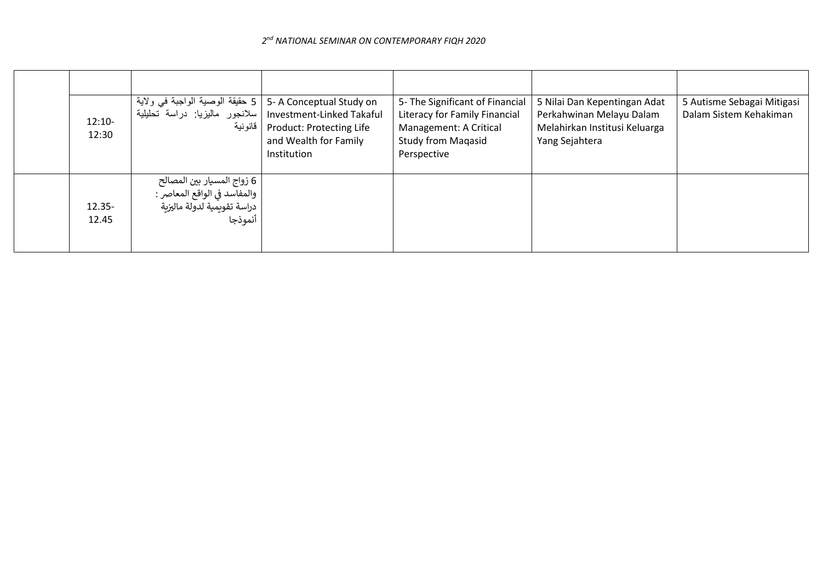#### *2 nd NATIONAL SEMINAR ON CONTEMPORARY FIQH 2020*

| $12:10-$<br>12:30  | 5   5- A Conceptual Study on   حقيقة الوصية الواجبة في ولاية<br>Investment-Linked Takaful   سلانجور  ماليزيا:  دراسة  تحليلية<br>  قانونية | Product: Protecting Life<br>and Wealth for Family<br>Institution | 5- The Significant of Financial<br>Literacy for Family Financial<br>Management: A Critical<br><b>Study from Magasid</b><br>Perspective | 5 Nilai Dan Kepentingan Adat<br>Perkahwinan Melayu Dalam<br>Melahirkan Institusi Keluarga<br>Yang Sejahtera | 5 Autisme Sebagai Mitigasi<br>Dalam Sistem Kehakiman |
|--------------------|--------------------------------------------------------------------------------------------------------------------------------------------|------------------------------------------------------------------|----------------------------------------------------------------------------------------------------------------------------------------|-------------------------------------------------------------------------------------------------------------|------------------------------------------------------|
| $12.35 -$<br>12.45 | 6 زواج المسيار بين المصالح<br>  والمفاسد في الواقع المعاصر :<br>  دراسة تقويمية لدولة ماليزية<br>أنموذجا                                   |                                                                  |                                                                                                                                        |                                                                                                             |                                                      |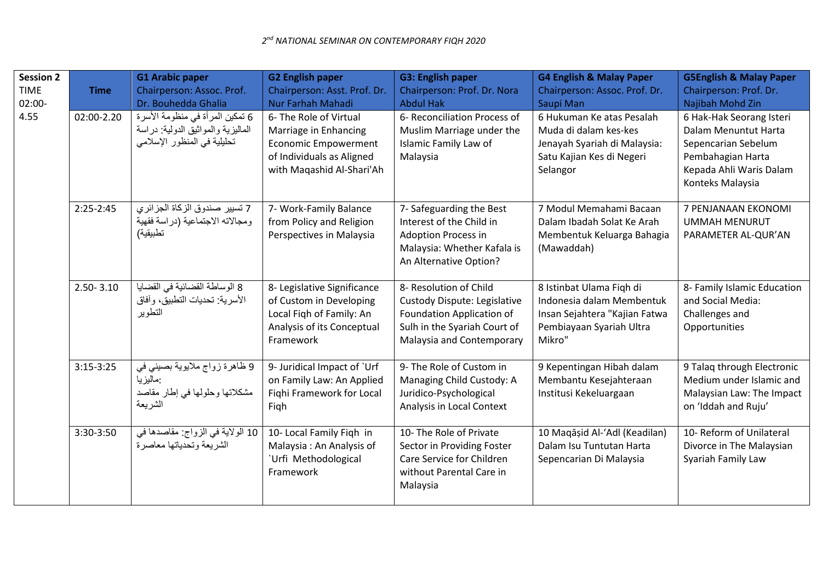| <b>Session 2</b><br><b>TIME</b><br>02:00- | <b>Time</b>   | <b>G1 Arabic paper</b><br>Chairperson: Assoc. Prof.<br>Dr. Bouhedda Ghalia                           | <b>G2 English paper</b><br>Chairperson: Asst. Prof. Dr.<br>Nur Farhah Mahadi                                                             | <b>G3: English paper</b><br>Chairperson: Prof. Dr. Nora<br><b>Abdul Hak</b>                                                                      | <b>G4 English &amp; Malay Paper</b><br>Chairperson: Assoc. Prof. Dr.<br>Saupi Man                                            | <b>G5English &amp; Malay Paper</b><br>Chairperson: Prof. Dr.<br>Najibah Mohd Zin                                                            |
|-------------------------------------------|---------------|------------------------------------------------------------------------------------------------------|------------------------------------------------------------------------------------------------------------------------------------------|--------------------------------------------------------------------------------------------------------------------------------------------------|------------------------------------------------------------------------------------------------------------------------------|---------------------------------------------------------------------------------------------------------------------------------------------|
| 4.55                                      | 02:00-2.20    | 6 تمكين المرأة في منظومة الأسرة<br>الماليزية والمواثيق الدولية: دراسة<br>تحليلية في المنظور الإسلامي | 6- The Role of Virtual<br>Marriage in Enhancing<br><b>Economic Empowerment</b><br>of Individuals as Aligned<br>with Maqashid Al-Shari'Ah | 6- Reconciliation Process of<br>Muslim Marriage under the<br>Islamic Family Law of<br>Malaysia                                                   | 6 Hukuman Ke atas Pesalah<br>Muda di dalam kes-kes<br>Jenayah Syariah di Malaysia:<br>Satu Kajian Kes di Negeri<br>Selangor  | 6 Hak-Hak Seorang Isteri<br>Dalam Menuntut Harta<br>Sepencarian Sebelum<br>Pembahagian Harta<br>Kepada Ahli Waris Dalam<br>Konteks Malaysia |
|                                           | $2:25-2:45$   | 7 تسيير صندوق الزكاة الجزائري<br>ومجالاته الاجتماعية (دراسة فقهية<br>تطبيقية)                        | 7- Work-Family Balance<br>from Policy and Religion<br>Perspectives in Malaysia                                                           | 7- Safeguarding the Best<br>Interest of the Child in<br><b>Adoption Process in</b><br>Malaysia: Whether Kafala is<br>An Alternative Option?      | 7 Modul Memahami Bacaan<br>Dalam Ibadah Solat Ke Arah<br>Membentuk Keluarga Bahagia<br>(Mawaddah)                            | 7 PENJANAAN EKONOMI<br><b>UMMAH MENURUT</b><br>PARAMETER AL-QUR'AN                                                                          |
|                                           | $2.50 - 3.10$ | 8 الوساطة القضائية في القضايا<br>الأسرية: تحديات النطبيق، وآفاق<br>التطوير                           | 8- Legislative Significance<br>of Custom in Developing<br>Local Figh of Family: An<br>Analysis of its Conceptual<br>Framework            | 8- Resolution of Child<br>Custody Dispute: Legislative<br>Foundation Application of<br>Sulh in the Syariah Court of<br>Malaysia and Contemporary | 8 Istinbat Ulama Figh di<br>Indonesia dalam Membentuk<br>Insan Sejahtera "Kajian Fatwa<br>Pembiayaan Syariah Ultra<br>Mikro" | 8- Family Islamic Education<br>and Social Media:<br>Challenges and<br>Opportunities                                                         |
|                                           | $3:15-3:25$   | 9 ظاهرة زواج ملايوية بصيني في<br>:ماليزيا<br>مشكلاتها وحلولها في إطار مقاصد<br>الشريعة               | 9- Juridical Impact of `Urf<br>on Family Law: An Applied<br>Fighi Framework for Local<br>Figh                                            | 9- The Role of Custom in<br>Managing Child Custody: A<br>Juridico-Psychological<br>Analysis in Local Context                                     | 9 Kepentingan Hibah dalam<br>Membantu Kesejahteraan<br>Institusi Kekeluargaan                                                | 9 Talaq through Electronic<br>Medium under Islamic and<br>Malaysian Law: The Impact<br>on 'Iddah and Ruju'                                  |
|                                           | 3:30-3:50     | 10 الولاية في الزواج: مقاصدها في<br>الشريعة وتحدياتها معاصرة                                         | 10- Local Family Figh in<br>Malaysia: An Analysis of<br>'Urfi Methodological<br>Framework                                                | 10- The Role of Private<br>Sector in Providing Foster<br>Care Service for Children<br>without Parental Care in<br>Malaysia                       | 10 Maqāșid Al-'Adl (Keadilan)<br>Dalam Isu Tuntutan Harta<br>Sepencarian Di Malaysia                                         | 10- Reform of Unilateral<br>Divorce in The Malaysian<br>Syariah Family Law                                                                  |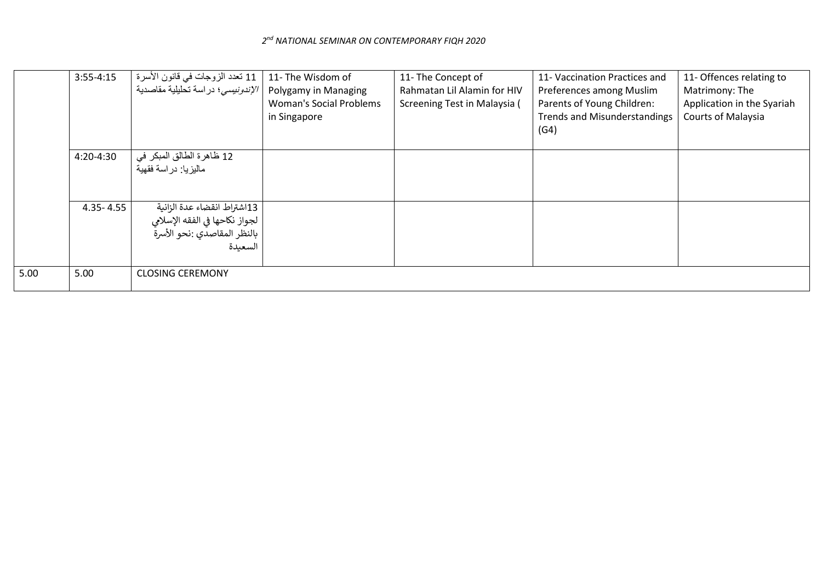|      | $3:55-4:15$   | 11 تعدد الزوجات في قانون الأسرة<br><i>الإندونيسي</i> ؛ دراسة تحليلية مقاصدية                                       | 11- The Wisdom of<br>Polygamy in Managing<br><b>Woman's Social Problems</b><br>in Singapore | 11- The Concept of<br>Rahmatan Lil Alamin for HIV<br>Screening Test in Malaysia ( | 11- Vaccination Practices and<br>Preferences among Muslim<br>Parents of Young Children:<br><b>Trends and Misunderstandings</b><br>(G4) | 11- Offences relating to<br>Matrimony: The<br>Application in the Syariah<br><b>Courts of Malaysia</b> |
|------|---------------|--------------------------------------------------------------------------------------------------------------------|---------------------------------------------------------------------------------------------|-----------------------------------------------------------------------------------|----------------------------------------------------------------------------------------------------------------------------------------|-------------------------------------------------------------------------------------------------------|
|      | 4:20-4:30     | 12 ظاهرة الطالق المبكر في<br>مالبز با: در اسة فقهبة                                                                |                                                                                             |                                                                                   |                                                                                                                                        |                                                                                                       |
|      | $4.35 - 4.55$ | 13اشتراط انقضاء عدة الزانية<br>لجواز نكاحها في الفقه الإسلا <b>ب</b> ي<br>  بالنظر المقاصدي :نحو الأسرة<br>السعىدة |                                                                                             |                                                                                   |                                                                                                                                        |                                                                                                       |
| 5.00 | 5.00          | <b>CLOSING CEREMONY</b>                                                                                            |                                                                                             |                                                                                   |                                                                                                                                        |                                                                                                       |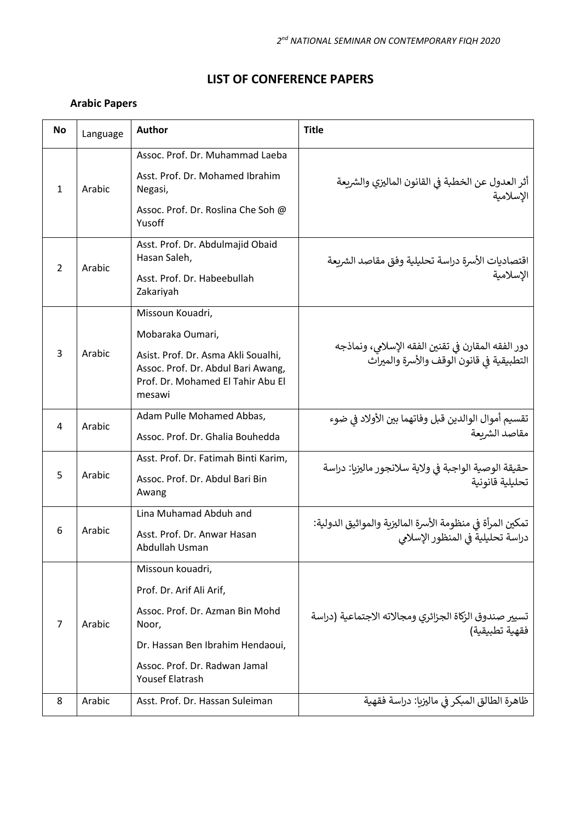# **LIST OF CONFERENCE PAPERS**

## **Arabic Papers**

| <b>No</b> | Language | <b>Author</b>                                                                                                                                                                           | <b>Title</b>                                                                                    |
|-----------|----------|-----------------------------------------------------------------------------------------------------------------------------------------------------------------------------------------|-------------------------------------------------------------------------------------------------|
| 1         | Arabic   | Assoc. Prof. Dr. Muhammad Laeba<br>Asst. Prof. Dr. Mohamed Ibrahim<br>Negasi,<br>Assoc. Prof. Dr. Roslina Che Soh @<br>Yusoff                                                           | أثر العدول عن الخطبة في القانون الماليزي والشريعة<br>الإسلامية                                  |
| 2         | Arabic   | Asst. Prof. Dr. Abdulmajid Obaid<br>Hasan Saleh,<br>Asst. Prof. Dr. Habeebullah<br>Zakariyah                                                                                            | اقتصاديات الأسرة دراسة تحليلية وفق مقاصد الشريعة<br>الإسلامية                                   |
| 3         | Arabic   | Missoun Kouadri,<br>Mobaraka Oumari,<br>Asist. Prof. Dr. Asma Akli Soualhi,<br>Assoc. Prof. Dr. Abdul Bari Awang,<br>Prof. Dr. Mohamed El Tahir Abu El<br>mesawi                        | دور الفقه المقارن في تقنين الفقه الإسلامي، ونماذجه<br>التطبيقية في قانون الوقف والأسرة والميراث |
| 4         | Arabic   | Adam Pulle Mohamed Abbas,<br>Assoc. Prof. Dr. Ghalia Bouhedda                                                                                                                           | تقسيم أموال الوالدين قبل وفاتهما بين الأولاد في ضوء<br>مقاصد الشرىعة                            |
| 5         | Arabic   | Asst. Prof. Dr. Fatimah Binti Karim,<br>Assoc. Prof. Dr. Abdul Bari Bin<br>Awang                                                                                                        | حقيقة الوصية الواجبة في ولاية سلانجور ماليزيا: دراسة<br>تحليلية قانونية                         |
| 6         | Arabic   | Lina Muhamad Abduh and<br>Asst. Prof. Dr. Anwar Hasan<br>Abdullah Usman                                                                                                                 | تمكين المرأة في منظومة الأسرة الماليزية والمواثيق الدولية:<br>دراسة تحليلية في المنظور الإسلامي |
| 7         | Arabic   | Missoun kouadri,<br>Prof. Dr. Arif Ali Arif,<br>Assoc. Prof. Dr. Azman Bin Mohd<br>Noor,<br>Dr. Hassan Ben Ibrahim Hendaoui,<br>Assoc. Prof. Dr. Radwan Jamal<br><b>Yousef Elatrash</b> | تسيير صندوق الزكاة الجزائري ومجالاته الاجتماعية (دراسة<br>فقهية تطبيقية)                        |
| 8         | Arabic   | Asst. Prof. Dr. Hassan Suleiman                                                                                                                                                         | ظاهرة الطالق المبكر في ماليزيا: دراسة فقهية                                                     |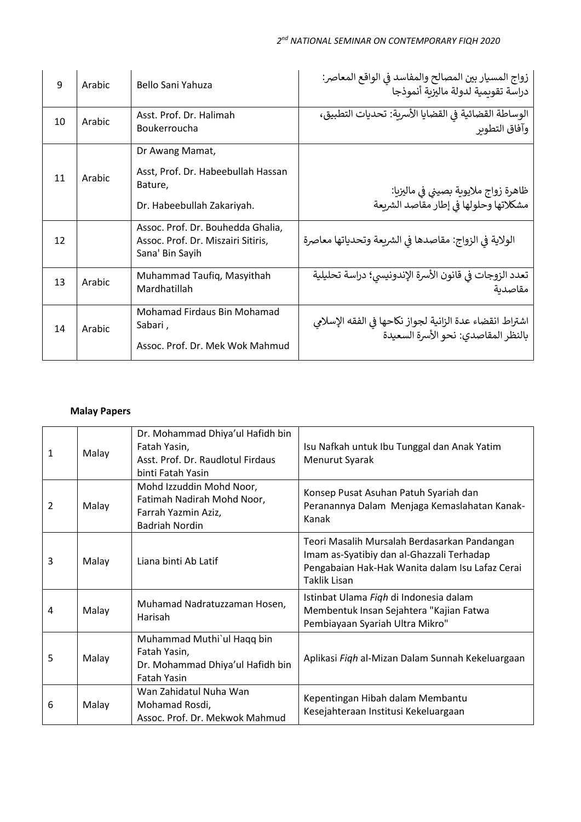| 9  | Arabic | Bello Sani Yahuza                                                                              | زواج المسيار بين المصالح والمفاسد في الواقع المعاصر:<br>دراسة تقوىمية لدولة ماليزية أنموذجا     |
|----|--------|------------------------------------------------------------------------------------------------|-------------------------------------------------------------------------------------------------|
| 10 | Arabic | Asst. Prof. Dr. Halimah<br>Boukerroucha                                                        | الوساطة القضائية في القضايا الأسرية: تحديات التطبيق،<br>وأفاق التطوير                           |
| 11 | Arabic | Dr Awang Mamat,<br>Asst, Prof. Dr. Habeebullah Hassan<br>Bature,<br>Dr. Habeebullah Zakariyah. | ظاهرة زواج ملايوبة بصيني في ماليزيا:<br>مشكلاتها وحلولها في إطار مقاصد الشربعة                  |
| 12 |        | Assoc. Prof. Dr. Bouhedda Ghalia,<br>Assoc. Prof. Dr. Miszairi Sitiris,<br>Sana' Bin Sayih     | الولاية في الزواج: مقاصدها في الشريعة وتحدياتها معاصرة                                          |
| 13 | Arabic | Muhammad Taufiq, Masyithah<br>Mardhatillah                                                     | تعدد الزوجات في قانون الأسرة الإندونيسي؛ دراسة تحليلية<br>مقاصدية                               |
| 14 | Arabic | Mohamad Firdaus Bin Mohamad<br>Sabari,<br>Assoc. Prof. Dr. Mek Wok Mahmud                      | اشتراط انقضاء عدة الزانية لجواز نكاحها في الفقه الإسلامي<br>بالنظر المقاصدي: نحو الأسرة السعيدة |

## **Malay Papers**

| 1 | Malay | Dr. Mohammad Dhiya'ul Hafidh bin<br>Fatah Yasin,<br>Asst. Prof. Dr. Raudlotul Firdaus<br>binti Fatah Yasin | Isu Nafkah untuk Ibu Tunggal dan Anak Yatim<br>Menurut Syarak                                                                                                       |
|---|-------|------------------------------------------------------------------------------------------------------------|---------------------------------------------------------------------------------------------------------------------------------------------------------------------|
| 2 | Malay | Mohd Izzuddin Mohd Noor,<br>Fatimah Nadirah Mohd Noor,<br>Farrah Yazmin Aziz,<br>Badriah Nordin            | Konsep Pusat Asuhan Patuh Syariah dan<br>Peranannya Dalam Menjaga Kemaslahatan Kanak-<br>Kanak                                                                      |
| 3 | Malay | Liana binti Ab Latif                                                                                       | Teori Masalih Mursalah Berdasarkan Pandangan<br>Imam as-Syatibiy dan al-Ghazzali Terhadap<br>Pengabaian Hak-Hak Wanita dalam Isu Lafaz Cerai<br><b>Taklik Lisan</b> |
| 4 | Malay | Muhamad Nadratuzzaman Hosen,<br>Harisah                                                                    | Istinbat Ulama Figh di Indonesia dalam<br>Membentuk Insan Sejahtera "Kajian Fatwa<br>Pembiayaan Syariah Ultra Mikro"                                                |
| 5 | Malay | Muhammad Muthi'ul Haqq bin<br>Fatah Yasin,<br>Dr. Mohammad Dhiya'ul Hafidh bin<br><b>Fatah Yasin</b>       | Aplikasi Fiqh al-Mizan Dalam Sunnah Kekeluargaan                                                                                                                    |
| 6 | Malay | Wan Zahidatul Nuha Wan<br>Mohamad Rosdi,<br>Assoc. Prof. Dr. Mekwok Mahmud                                 | Kepentingan Hibah dalam Membantu<br>Kesejahteraan Institusi Kekeluargaan                                                                                            |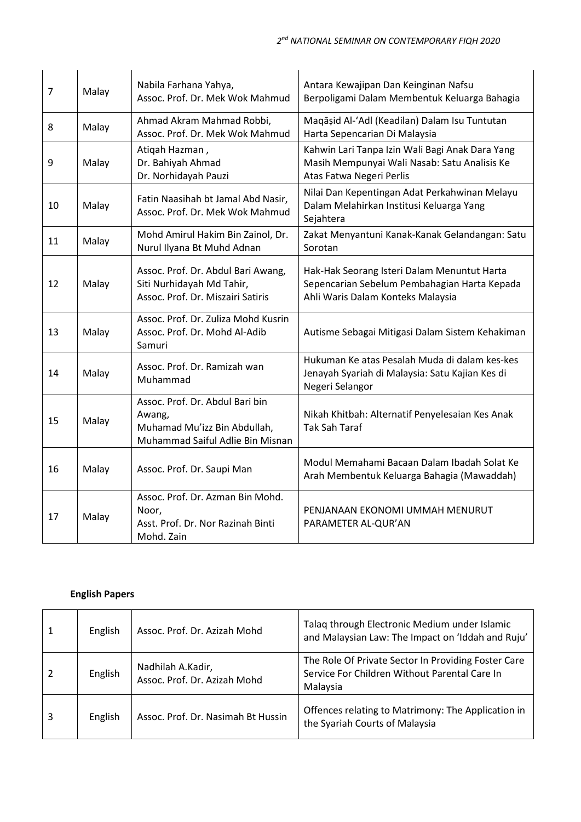| $\overline{7}$ | Malay | Nabila Farhana Yahya,<br>Assoc. Prof. Dr. Mek Wok Mahmud                                                      | Antara Kewajipan Dan Keinginan Nafsu<br>Berpoligami Dalam Membentuk Keluarga Bahagia                                             |
|----------------|-------|---------------------------------------------------------------------------------------------------------------|----------------------------------------------------------------------------------------------------------------------------------|
| 8              | Malay | Ahmad Akram Mahmad Robbi,<br>Assoc. Prof. Dr. Mek Wok Mahmud                                                  | Maqāșid Al-'Adl (Keadilan) Dalam Isu Tuntutan<br>Harta Sepencarian Di Malaysia                                                   |
| 9              | Malay | Atigah Hazman,<br>Dr. Bahiyah Ahmad<br>Dr. Norhidayah Pauzi                                                   | Kahwin Lari Tanpa Izin Wali Bagi Anak Dara Yang<br>Masih Mempunyai Wali Nasab: Satu Analisis Ke<br>Atas Fatwa Negeri Perlis      |
| 10             | Malay | Fatin Naasihah bt Jamal Abd Nasir,<br>Assoc. Prof. Dr. Mek Wok Mahmud                                         | Nilai Dan Kepentingan Adat Perkahwinan Melayu<br>Dalam Melahirkan Institusi Keluarga Yang<br>Sejahtera                           |
| 11             | Malay | Mohd Amirul Hakim Bin Zainol, Dr.<br>Nurul Ilyana Bt Muhd Adnan                                               | Zakat Menyantuni Kanak-Kanak Gelandangan: Satu<br>Sorotan                                                                        |
| 12             | Malay | Assoc. Prof. Dr. Abdul Bari Awang,<br>Siti Nurhidayah Md Tahir,<br>Assoc. Prof. Dr. Miszairi Satiris          | Hak-Hak Seorang Isteri Dalam Menuntut Harta<br>Sepencarian Sebelum Pembahagian Harta Kepada<br>Ahli Waris Dalam Konteks Malaysia |
| 13             | Malay | Assoc. Prof. Dr. Zuliza Mohd Kusrin<br>Assoc. Prof. Dr. Mohd Al-Adib<br>Samuri                                | Autisme Sebagai Mitigasi Dalam Sistem Kehakiman                                                                                  |
| 14             | Malay | Assoc. Prof. Dr. Ramizah wan<br>Muhammad                                                                      | Hukuman Ke atas Pesalah Muda di dalam kes-kes<br>Jenayah Syariah di Malaysia: Satu Kajian Kes di<br>Negeri Selangor              |
| 15             | Malay | Assoc. Prof. Dr. Abdul Bari bin<br>Awang,<br>Muhamad Mu'izz Bin Abdullah,<br>Muhammad Saiful Adlie Bin Misnan | Nikah Khitbah: Alternatif Penyelesaian Kes Anak<br><b>Tak Sah Taraf</b>                                                          |
| 16             | Malay | Assoc. Prof. Dr. Saupi Man                                                                                    | Modul Memahami Bacaan Dalam Ibadah Solat Ke<br>Arah Membentuk Keluarga Bahagia (Mawaddah)                                        |
| 17             | Malay | Assoc. Prof. Dr. Azman Bin Mohd.<br>Noor,<br>Asst. Prof. Dr. Nor Razinah Binti<br>Mohd. Zain                  | PENJANAAN EKONOMI UMMAH MENURUT<br>PARAMETER AL-QUR'AN                                                                           |

## **English Papers**

| 1              | English | Assoc. Prof. Dr. Azizah Mohd                      | Talag through Electronic Medium under Islamic<br>and Malaysian Law: The Impact on 'Iddah and Ruju'               |
|----------------|---------|---------------------------------------------------|------------------------------------------------------------------------------------------------------------------|
| $\overline{2}$ | English | Nadhilah A.Kadir,<br>Assoc. Prof. Dr. Azizah Mohd | The Role Of Private Sector In Providing Foster Care<br>Service For Children Without Parental Care In<br>Malaysia |
| 3              | English | Assoc. Prof. Dr. Nasimah Bt Hussin                | Offences relating to Matrimony: The Application in<br>the Syariah Courts of Malaysia                             |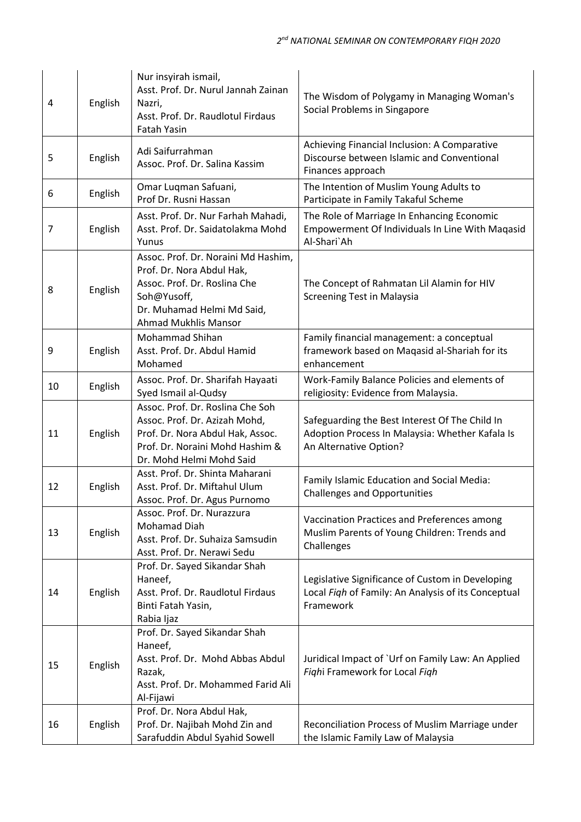| 4              | English | Nur insyirah ismail,<br>Asst. Prof. Dr. Nurul Jannah Zainan<br>Nazri,<br>Asst. Prof. Dr. Raudlotul Firdaus<br><b>Fatah Yasin</b>                                             | The Wisdom of Polygamy in Managing Woman's<br>Social Problems in Singapore                                                  |
|----------------|---------|------------------------------------------------------------------------------------------------------------------------------------------------------------------------------|-----------------------------------------------------------------------------------------------------------------------------|
| 5              | English | Adi Saifurrahman<br>Assoc. Prof. Dr. Salina Kassim                                                                                                                           | Achieving Financial Inclusion: A Comparative<br>Discourse between Islamic and Conventional<br>Finances approach             |
| 6              | English | Omar Luqman Safuani,<br>Prof Dr. Rusni Hassan                                                                                                                                | The Intention of Muslim Young Adults to<br>Participate in Family Takaful Scheme                                             |
| $\overline{7}$ | English | Asst. Prof. Dr. Nur Farhah Mahadi,<br>Asst. Prof. Dr. Saidatolakma Mohd<br>Yunus                                                                                             | The Role of Marriage In Enhancing Economic<br>Empowerment Of Individuals In Line With Maqasid<br>Al-Shari`Ah                |
| 8              | English | Assoc. Prof. Dr. Noraini Md Hashim,<br>Prof. Dr. Nora Abdul Hak,<br>Assoc. Prof. Dr. Roslina Che<br>Soh@Yusoff,<br>Dr. Muhamad Helmi Md Said,<br><b>Ahmad Mukhlis Mansor</b> | The Concept of Rahmatan Lil Alamin for HIV<br><b>Screening Test in Malaysia</b>                                             |
| 9              | English | Mohammad Shihan<br>Asst. Prof. Dr. Abdul Hamid<br>Mohamed                                                                                                                    | Family financial management: a conceptual<br>framework based on Maqasid al-Shariah for its<br>enhancement                   |
| 10             | English | Assoc. Prof. Dr. Sharifah Hayaati<br>Syed Ismail al-Qudsy                                                                                                                    | Work-Family Balance Policies and elements of<br>religiosity: Evidence from Malaysia.                                        |
| 11             | English | Assoc. Prof. Dr. Roslina Che Soh<br>Assoc. Prof. Dr. Azizah Mohd,<br>Prof. Dr. Nora Abdul Hak, Assoc.<br>Prof. Dr. Noraini Mohd Hashim &<br>Dr. Mohd Helmi Mohd Said         | Safeguarding the Best Interest Of The Child In<br>Adoption Process In Malaysia: Whether Kafala Is<br>An Alternative Option? |
| 12             | English | Asst. Prof. Dr. Shinta Maharani<br>Asst. Prof. Dr. Miftahul Ulum<br>Assoc. Prof. Dr. Agus Purnomo                                                                            | Family Islamic Education and Social Media:<br><b>Challenges and Opportunities</b>                                           |
| 13             | English | Assoc. Prof. Dr. Nurazzura<br>Mohamad Diah<br>Asst. Prof. Dr. Suhaiza Samsudin<br>Asst. Prof. Dr. Nerawi Sedu                                                                | Vaccination Practices and Preferences among<br>Muslim Parents of Young Children: Trends and<br>Challenges                   |
| 14             | English | Prof. Dr. Sayed Sikandar Shah<br>Haneef,<br>Asst. Prof. Dr. Raudlotul Firdaus<br>Binti Fatah Yasin,<br>Rabia Ijaz                                                            | Legislative Significance of Custom in Developing<br>Local Figh of Family: An Analysis of its Conceptual<br>Framework        |
| 15             | English | Prof. Dr. Sayed Sikandar Shah<br>Haneef,<br>Asst. Prof. Dr. Mohd Abbas Abdul<br>Razak,<br>Asst. Prof. Dr. Mohammed Farid Ali<br>Al-Fijawi                                    | Juridical Impact of `Urf on Family Law: An Applied<br>Fighi Framework for Local Figh                                        |
| 16             | English | Prof. Dr. Nora Abdul Hak,<br>Prof. Dr. Najibah Mohd Zin and<br>Sarafuddin Abdul Syahid Sowell                                                                                | Reconciliation Process of Muslim Marriage under<br>the Islamic Family Law of Malaysia                                       |